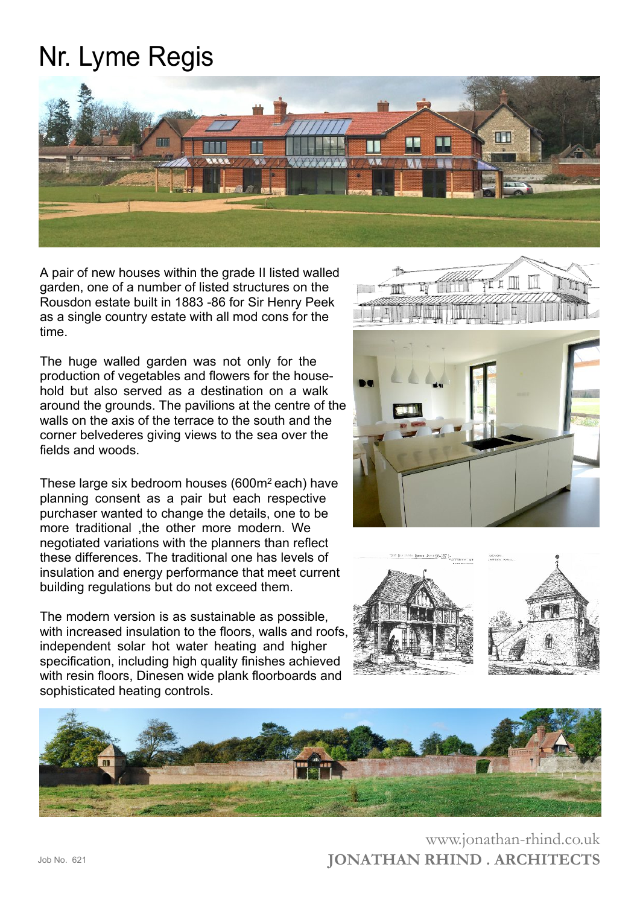## Nr. Lyme Regis



A pair of new houses within the grade II listed walled garden, one of a number of listed structures on the Rousdon estate built in 1883 -86 for Sir Henry Peek as a single country estate with all mod cons for the time.

The huge walled garden was not only for the production of vegetables and flowers for the household but also served as a destination on a walk around the grounds. The pavilions at the centre of the walls on the axis of the terrace to the south and the corner belvederes giving views to the sea over the fields and woods.

These large six bedroom houses  $(600m^2 \text{ each})$  have planning consent as a pair but each respective purchaser wanted to change the details, one to be more traditional ,the other more modern. We negotiated variations with the planners than reflect these differences. The traditional one has levels of insulation and energy performance that meet current building regulations but do not exceed them.

The modern version is as sustainable as possible, with increased insulation to the floors, walls and roofs. independent solar hot water heating and higher specification, including high quality finishes achieved with resin floors, Dinesen wide plank floorboards and sophisticated heating controls.









**JONATHAN RHIND . ARCHITECTS** www.jonathan-rhind.co.uk